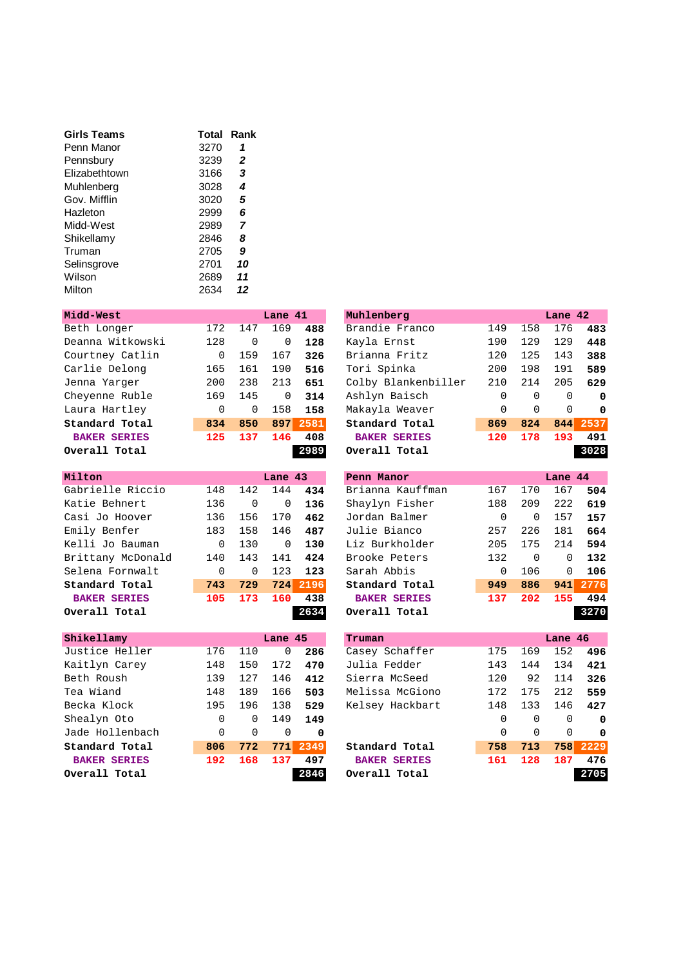| Girls Teams   | Total | Rank |
|---------------|-------|------|
| Penn Manor    | 3270  | 1    |
| Pennsbury     | 3239  | 2    |
| Flizabethtown | 3166  | 3    |
| Muhlenberg    | 3028  | 4    |
| Gov. Mifflin  | 3020  | 5    |
| Hazleton      | 2999  | 6    |
| Midd-West     | 2989  | 7    |
| Shikellamy    | 2846  | 8    |
| Truman        | 2705  | 9    |
| Selinsgrove   | 2701  | 10   |
| Wilson        | 2689  | 11   |
| Milton        | 2634  | 12   |

| Midd-West           |     |     | Lane 41  |      | Muhlenberg          |     |          | Lane 42  |          |
|---------------------|-----|-----|----------|------|---------------------|-----|----------|----------|----------|
| Beth Longer         | 172 | 147 | 169      | 488  | Brandie Franco      | 149 | 158      | 176      | 483      |
| Deanna Witkowski    | 128 | 0   | 0        | 128  | Kayla Ernst         | 190 | 129      | 129      | 448      |
| Courtney Catlin     | 0   | 159 | 167      | 326  | Brianna Fritz       | 120 | 125      | 143      | 388      |
| Carlie Delong       | 165 | 161 | 190      | 516  | Tori Spinka         | 200 | 198      | 191      | 589      |
| Jenna Yarger        | 200 | 238 | 213      | 651  | Colby Blankenbiller | 210 | 214      | 205      | 629      |
| Cheyenne Ruble      | 169 | 145 | $\Omega$ | 314  | Ashlyn Baisch       | 0   | $\Omega$ | $\Omega$ | 0        |
| Laura Hartley       | 0   | 0   | 158      | 158  | Makayla Weaver      | 0   | $\Omega$ | $\Omega$ | $\Omega$ |
| Standard Total      | 834 | 850 | 897      | 2581 | Standard Total      | 869 | 824      | 844      | 2537     |
| <b>BAKER SERIES</b> | 125 | 137 | 146      | 408  | <b>BAKER SERIES</b> | 120 | 178      | 193      | 491      |
| Overall Total       |     |     |          | 2989 | Overall Total       |     |          |          | 3028     |

| Milton              |          |          | Lane 43 |      | Penn Manor          |          |          | Lane 44  |      |
|---------------------|----------|----------|---------|------|---------------------|----------|----------|----------|------|
| Gabrielle Riccio    | 148      | 142      | 144     | 434  | Brianna Kauffman    | 167      | 170      | 167      | 504  |
| Katie Behnert       | 136      | 0        | 0       | 136  | Shaylyn Fisher      | 188      | 209      | 222      | 619  |
| Casi Jo Hoover      | 136      | 156      | 170     | 462  | Jordan Balmer       | 0        | $\Omega$ | 157      | 157  |
| Emily Benfer        | 183      | 158      | 146     | 487  | Julie Bianco        | 257      | 226      | 181      | 664  |
| Kelli Jo Bauman     | $\Omega$ | 130      | 0       | 130  | Liz Burkholder      | 205      | 175      | 214      | 594  |
| Brittany McDonald   | 140      | 143      | 141     | 424  | Brooke Peters       | 132      | $\Omega$ | $\Omega$ | 132  |
| Selena Fornwalt     | 0        | $\Omega$ | 123     | 123  | Sarah Abbis         | $\Omega$ | 106      | $\Omega$ | 106  |
| Standard Total      | 743      | 729      | 724     | 2196 | Standard Total      | 949      | 886      | 941      | 2776 |
| <b>BAKER SERIES</b> | 105      | 173      | 160     | 438  | <b>BAKER SERIES</b> | 137      | 202      | 155      | 494  |
| Overall Total       |          |          |         | 2634 | Overall Total       |          |          |          | 3270 |

| Overall Total       |     |     |          | 2989 | Overall Total       |     |          |     | 3028     |
|---------------------|-----|-----|----------|------|---------------------|-----|----------|-----|----------|
| <b>BAKER SERIES</b> | 125 | 137 | 146      | 408  | <b>BAKER SERIES</b> | 120 | 178      | 193 | 491      |
| Standard Total      | 834 | 850 | 897      | 2581 | Standard Total      | 869 | 824      | 844 | 2537     |
| Laura Hartley       | 0   | 0   | 158      | 158  | Makayla Weaver      | 0   | $\Omega$ | 0   | $\Omega$ |
| Cheyenne Ruble      | 169 | 145 | $\Omega$ | 314  | Ashlyn Baisch       | 0   | $\Omega$ | 0   | $\Omega$ |
| Jenna Yarger        | 200 | 238 | 213      | 651  | Colby Blankenbiller | 210 | 214      | 205 | 629      |
| Carlie Delong       | 165 | 161 | 190      | 516  | Tori Spinka         | 200 | 198      | 191 | 589      |
| Courtney Catlin     | 0   | 159 | 167      | 326  | Brianna Fritz       | 120 | 125      | 143 | 388      |
| Deanna Witkowski    | 128 | 0   | 0        | 128  | Kayla Ernst         | 190 | 129      | 129 | 448      |
| Beth Longer         | 172 | 147 | 169      | 488  | Brandie Franco      | 149 | 158      | 176 | 483      |

| Milton              |          |     | Lane 43 |      | Penn Manor          |     | Lane 44  |          |      |
|---------------------|----------|-----|---------|------|---------------------|-----|----------|----------|------|
| Gabrielle Riccio    | 148      | 142 | 144     | 434  | Brianna Kauffman    | 167 | 170      | 167      | 504  |
| Katie Behnert       | 136      | 0   | 0       | 136  | Shaylyn Fisher      | 188 | 209      | 222      | 619  |
| Casi Jo Hoover      | 136      | 156 | 170     | 462  | Jordan Balmer       | 0   | $\Omega$ | 157      | 157  |
| Emily Benfer        | 183      | 158 | 146     | 487  | Julie Bianco        | 257 | 226      | 181      | 664  |
| Kelli Jo Bauman     | $\Omega$ | 130 | 0       | 130  | Liz Burkholder      | 205 | 175      | 214      | 594  |
| Brittany McDonald   | 140      | 143 | 141     | 424  | Brooke Peters       | 132 | $\Omega$ | $\Omega$ | 132  |
| Selena Fornwalt     | 0        | 0   | 123     | 123  | Sarah Abbis         | 0   | 106      | $\Omega$ | 106  |
| Standard Total      | 743      | 729 | 724     | 2196 | Standard Total      | 949 | 886      | 941      | 2776 |
| <b>BAKER SERIES</b> | 105      | 173 | 160     | 438  | <b>BAKER SERIES</b> | 137 | 202      | 155      | 494  |
| Overall Total       |          |     |         | 2634 | Overall Total       |     |          |          | 3270 |

| Shikellamy          |     |     | Lane 45 |      | Truman       |
|---------------------|-----|-----|---------|------|--------------|
| Justice Heller      | 176 | 110 | 0       | 286  | Casey        |
| Kaitlyn Carey       | 148 | 150 | 172     | 470  | Julia        |
| Beth Roush          | 139 | 127 | 146     | 412  | Sierra       |
| Tea Wiand           | 148 | 189 | 166     | 503  | Meliss       |
| Becka Klock         | 195 | 196 | 138     | 529  | Kelsey       |
| Shealyn Oto         | 0   | 0   | 149     | 149  |              |
| Jade Hollenbach     | 0   | 0   | 0       | 0    |              |
| Standard Total      | 806 | 772 | 771     | 2349 | Standa       |
| <b>BAKER SERIES</b> | 192 | 168 | 137     | 497  | <b>BAKEI</b> |
| Overall Total       |     |     |         | 2846 | Overal       |

| Shikellamy          |     |          | Lane 45     |          | Truman              |     |          | Lane 46  |          |
|---------------------|-----|----------|-------------|----------|---------------------|-----|----------|----------|----------|
| Justice Heller      | 176 | 110      | $\mathbf 0$ | 286      | Casey Schaffer      | 175 | 169      | 152      | 496      |
| Kaitlyn Carey       | 148 | 150      | 172         | 470      | Julia Fedder        | 143 | 144      | 134      | 421      |
| Beth Roush          | 139 | 127      | 146         | 412      | Sierra McSeed       | 120 | 92       | 114      | 326      |
| Tea Wiand           | 148 | 189      | 166         | 503      | Melissa McGiono     | 172 | 175      | 212      | 559      |
| Becka Klock         | 195 | 196      | 138         | 529      | Kelsey Hackbart     | 148 | 133      | 146      | 427      |
| Shealyn Oto         | 0   | 0        | 149         | 149      |                     | 0   | $\Omega$ | $\Omega$ | $\Omega$ |
| Jade Hollenbach     | 0   | $\Omega$ | $\Omega$    | 0        |                     | 0   | $\Omega$ | $\Omega$ | $\Omega$ |
| Standard Total      | 806 | 772      |             | 771 2349 | Standard Total      | 758 | 713      | 758      | 2229     |
| <b>BAKER SERIES</b> | 192 | 168      | 137         | 497      | <b>BAKER SERIES</b> | 161 | 128      | 187      | 476      |
| Overall Total       |     |          |             | 2846     | Overall Total       |     |          |          | 2705     |